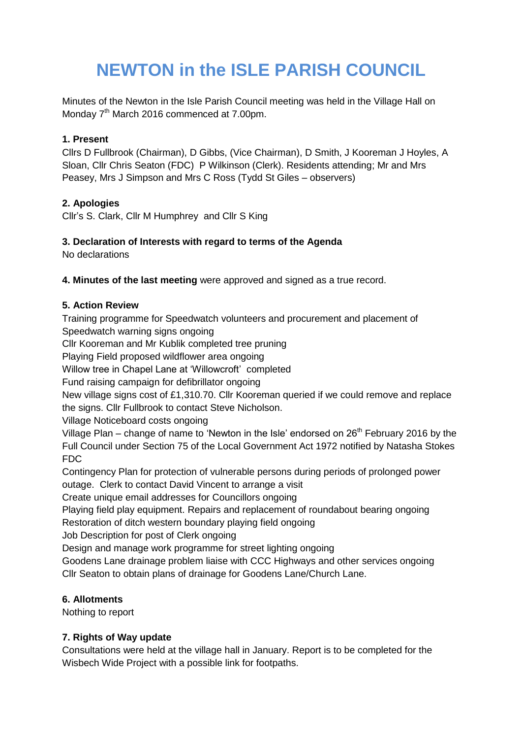# **NEWTON in the ISLE PARISH COUNCIL**

Minutes of the Newton in the Isle Parish Council meeting was held in the Village Hall on Monday 7<sup>th</sup> March 2016 commenced at 7.00pm.

## **1. Present**

Cllrs D Fullbrook (Chairman), D Gibbs, (Vice Chairman), D Smith, J Kooreman J Hoyles, A Sloan, Cllr Chris Seaton (FDC) P Wilkinson (Clerk). Residents attending; Mr and Mrs Peasey, Mrs J Simpson and Mrs C Ross (Tydd St Giles – observers)

## **2. Apologies**

Cllr's S. Clark, Cllr M Humphrey and Cllr S King

## **3. Declaration of Interests with regard to terms of the Agenda**

No declarations

**4. Minutes of the last meeting** were approved and signed as a true record.

## **5. Action Review**

Training programme for Speedwatch volunteers and procurement and placement of Speedwatch warning signs ongoing

Cllr Kooreman and Mr Kublik completed tree pruning

Playing Field proposed wildflower area ongoing

Willow tree in Chapel Lane at 'Willowcroft' completed

Fund raising campaign for defibrillator ongoing

New village signs cost of £1,310.70. Cllr Kooreman queried if we could remove and replace the signs. Cllr Fullbrook to contact Steve Nicholson.

Village Noticeboard costs ongoing

Village Plan – change of name to 'Newton in the Isle' endorsed on  $26<sup>th</sup>$  February 2016 by the Full Council under Section 75 of the Local Government Act 1972 notified by Natasha Stokes FDC

Contingency Plan for protection of vulnerable persons during periods of prolonged power outage. Clerk to contact David Vincent to arrange a visit

Create unique email addresses for Councillors ongoing

Playing field play equipment. Repairs and replacement of roundabout bearing ongoing Restoration of ditch western boundary playing field ongoing

Job Description for post of Clerk ongoing

Design and manage work programme for street lighting ongoing

Goodens Lane drainage problem liaise with CCC Highways and other services ongoing Cllr Seaton to obtain plans of drainage for Goodens Lane/Church Lane.

#### **6. Allotments**

Nothing to report

#### **7. Rights of Way update**

Consultations were held at the village hall in January. Report is to be completed for the Wisbech Wide Project with a possible link for footpaths.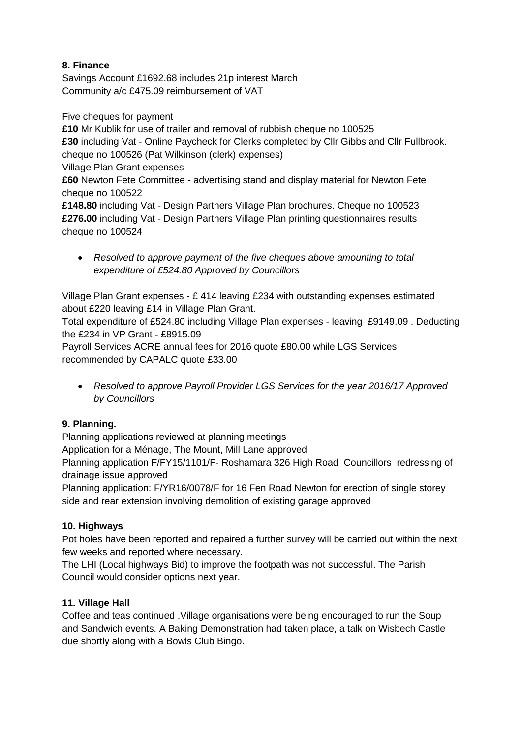# **8. Finance**

Savings Account £1692.68 includes 21p interest March Community a/c £475.09 reimbursement of VAT

Five cheques for payment

**£10** Mr Kublik for use of trailer and removal of rubbish cheque no 100525 **£30** including Vat - Online Paycheck for Clerks completed by Cllr Gibbs and Cllr Fullbrook. cheque no 100526 (Pat Wilkinson (clerk) expenses)

Village Plan Grant expenses

**£60** Newton Fete Committee - advertising stand and display material for Newton Fete cheque no 100522

**£148.80** including Vat - Design Partners Village Plan brochures. Cheque no 100523 **£276.00** including Vat - Design Partners Village Plan printing questionnaires results cheque no 100524

 *Resolved to approve payment of the five cheques above amounting to total expenditure of £524.80 Approved by Councillors*

Village Plan Grant expenses - £ 414 leaving £234 with outstanding expenses estimated about £220 leaving £14 in Village Plan Grant.

Total expenditure of £524.80 including Village Plan expenses - leaving £9149.09 . Deducting the £234 in VP Grant - £8915.09

Payroll Services ACRE annual fees for 2016 quote £80.00 while LGS Services recommended by CAPALC quote £33.00

 *Resolved to approve Payroll Provider LGS Services for the year 2016/17 Approved by Councillors* 

# **9. Planning.**

Planning applications reviewed at planning meetings

Application for a Ménage, The Mount, Mill Lane approved

Planning application F/FY15/1101/F- Roshamara 326 High Road Councillors redressing of drainage issue approved

Planning application: F/YR16/0078/F for 16 Fen Road Newton for erection of single storey side and rear extension involving demolition of existing garage approved

# **10. Highways**

Pot holes have been reported and repaired a further survey will be carried out within the next few weeks and reported where necessary.

The LHI (Local highways Bid) to improve the footpath was not successful. The Parish Council would consider options next year.

# **11. Village Hall**

Coffee and teas continued .Village organisations were being encouraged to run the Soup and Sandwich events. A Baking Demonstration had taken place, a talk on Wisbech Castle due shortly along with a Bowls Club Bingo.